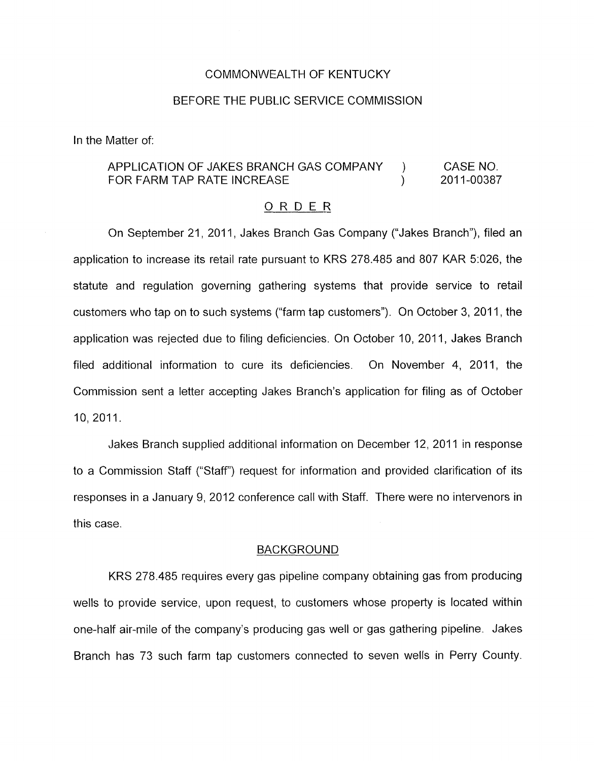#### COMMONWEALTH OF KENTUCKY

#### BEFORE THE PUBLIC SERVICE COMMISSION

In the Matter of:

# APPLICATION OF JAKES BRANCH GAS COMPANY ) CASE NO. FOR FARM TAP RATE INCREASE (2011-00387)

### ORDER

On September 21, 2011, Jakes Branch Gas Company ("Jakes Branch"), filed an application to increase its retail rate pursuant to KRS 278.485 and 807 KAR 5:026, the statute and regulation governing gathering systems that provide service to retail customers who tap on to such systems ("farm tap customers"). On October 3, 2011, the application was rejected due to filing deficiencies. On October 10, 2011, Jakes Branch filed additional information to cure its deficiencies. On November **4,** 2011, the Commission sent a letter accepting Jakes Branch's application for filing as of October IO, 2011.

Jakes Branch supplied additional information on December 12, 2011 in response to a Commission Staff ("Staff') request for information and provided clarification of its responses in a January 9, 2012 conference call with Staff. There were no intervenors in this case.

#### BACKGROUND

KRS 278.485 requires every gas pipeline company obtaining gas from producing wells to provide service, upon request, to customers whose property is located within one-half air-mile of the company's producing gas well or gas gathering pipeline. Jakes Branch has 73 such farm tap customers connected to seven wells in Perry County.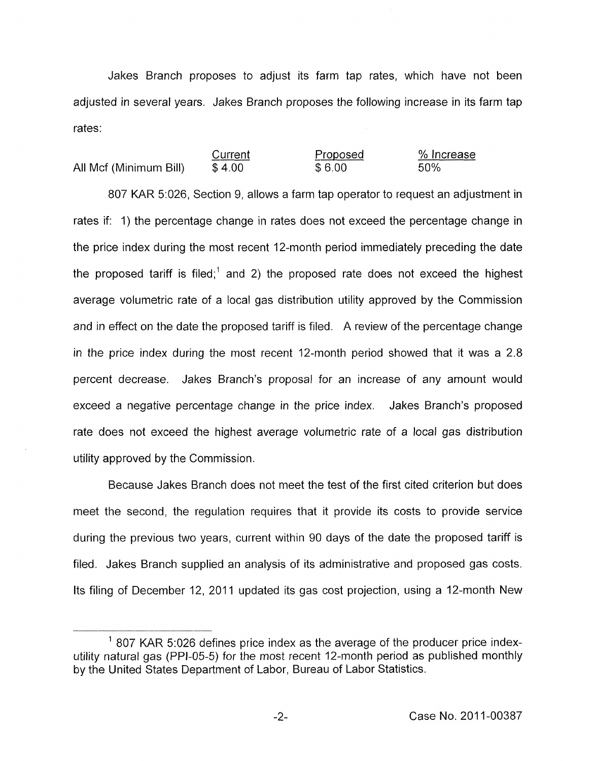Jakes Branch proposes to adjust its farm tap rates, which have not been adjusted in several years. Jakes Branch proposes the following increase in its farm tap rates:

|                        | Current | Proposed | % Increase |
|------------------------|---------|----------|------------|
| All Mcf (Minimum Bill) | \$4.00  | \$6.00   | 50%        |

807 KAR 5:026, Section 9, allows a farm tap operator to request an adjustment in rates if: 1) the percentage change in rates does not exceed the percentage change in the price index during the most recent 12-month period immediately preceding the date the proposed tariff is filed;<sup>1</sup> and 2) the proposed rate does not exceed the highest average volumetric rate of a local gas distribution utility approved by the Commission and in effect on the date the proposed tariff is filed. A review of the percentage change in the price index during the most recent 12-month period showed that it was a 2.8 percent decrease. Jakes Branch's proposal for an increase of any amount would exceed a negative percentage change in the price index. Jakes Branch's proposed rate does not exceed the highest average volumetric rate of a local gas distribution utility approved by the Commission.

Because Jakes Branch does not meet the test of the first cited criterion but does meet the second, the regulation requires that it provide its costs to provide service during the previous two years, current within 90 days of the date the proposed tariff is filed. Jakes Branch supplied an analysis of its administrative and proposed gas costs. Its filing of December 12, 2011 updated its gas cost projection, using a 12-month New

 $<sup>1</sup>$  807 KAR 5:026 defines price index as the average of the producer price index-</sup> utility natural gas (PPI-05-5) for the most recent 12-month period as published monthly by the United States Department of Labor, Bureau of Labor Statistics.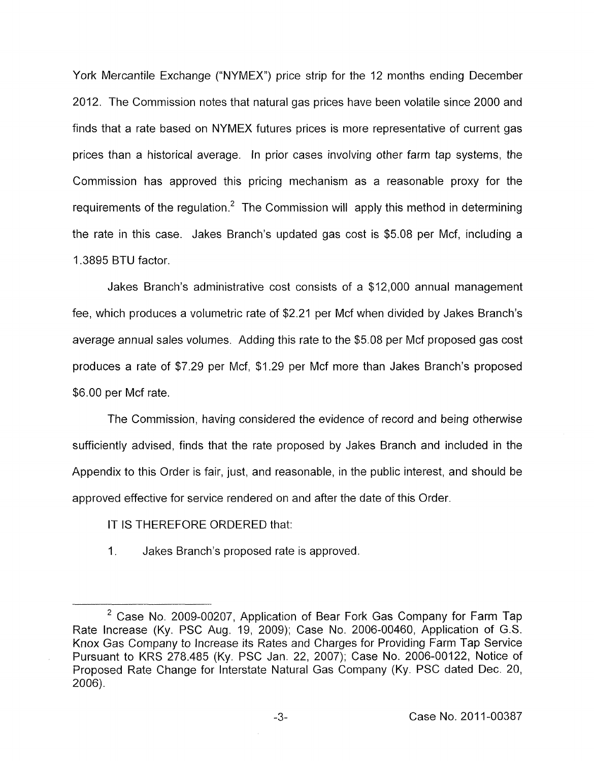York Mercantile Exchange ("NYMEX") price strip for the 12 months ending December 2012. The Commission notes that natural gas prices have been volatile since 2000 and finds that a rate based on NYMEX futures prices is more representative of current gas prices than a historical average. In prior cases involving other farm tap systems, the Commission has approved this pricing mechanism as a reasonable proxy for the requirements of the regulation.<sup>2</sup> The Commission will apply this method in determining the rate in this case. Jakes Branch's updated gas cost is \$5.08 per Mcf, including a 1.3895 BTU factor.

Jakes Branch's administrative cost consists of a \$12,000 annual management fee, which produces a volumetric rate of \$2.21 per Mcf when divided by Jakes Branch's average annual sales volumes. Adding this rate to the \$5.08 per Mcf proposed gas cost produces a rate of \$7.29 per Mcf, \$1.29 per Mcf more than Jakes Branch's proposed \$6.00 per Mcf rate.

The Commission, having considered the evidence of record and being otherwise sufficiently advised, finds that the rate proposed by Jakes Branch and included in the Appendix to this Order is fair, just, and reasonable, in the public interest, and should be approved effective for service rendered on and after the date of this Order.

IT IS THEREFORE ORDERED that:

1. Jakes Branch's proposed rate is approved.

<sup>&</sup>lt;sup>2</sup> Case No. 2009-00207, Application of Bear Fork Gas Company for Farm Tap Rate Increase (Ky. PSC Aug. 19, 2009); Case No. 2006-00460, Application of G.S. Knox Gas Company to Increase its Rates and Charges for Providing Farm Tap Service Pursuant to KRS 278.485 (Ky. PSC Jan. 22, 2007); Case No. 2006-00122, Notice of Proposed Rate Change for Interstate Natural Gas Company (Ky. PSC dated Dec. 20, 2006).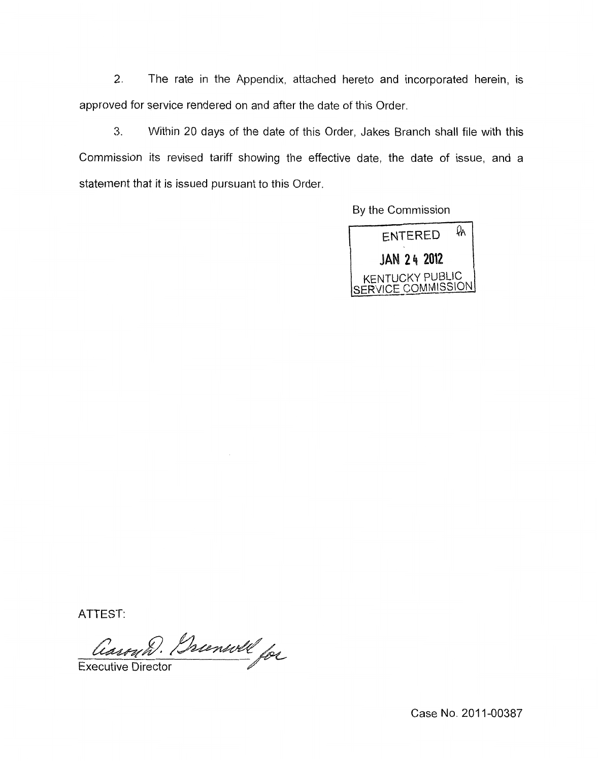2. The rate in the Appendix, attached hereto and incorporated herein, is approved for service rendered on and after the date of this Order.

*3.* Within 20 days of the date of this Order, Jakes Branch shall file with this Commission its revised tariff showing the effective date, the date of issue, and a statement that it is issued pursuant to this Order



ATTEST

Carry D. Brunsvill for **Executive Director** 

Case No. 2011-00387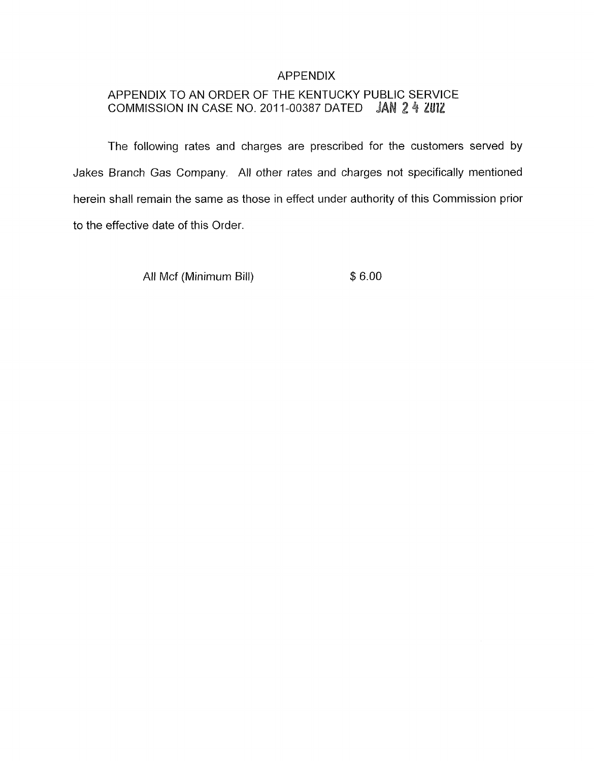## APPENDIX

# APPENDIX TO AN ORDER OF THE KENTUCKY PUBLIC SERVICE COMMISSION IN CASE NO. 2011-00387 DATED JAN 2 4 ZUIZ

The following rates and charges are prescribed for the customers served by Jakes Branch Gas Company. All other rates and charges not specifically mentioned herein shall remain the same as those in effect under authority of this Commission prior to the effective date of this Order.

All Mcf (Minimum Bill)  $$6.00$